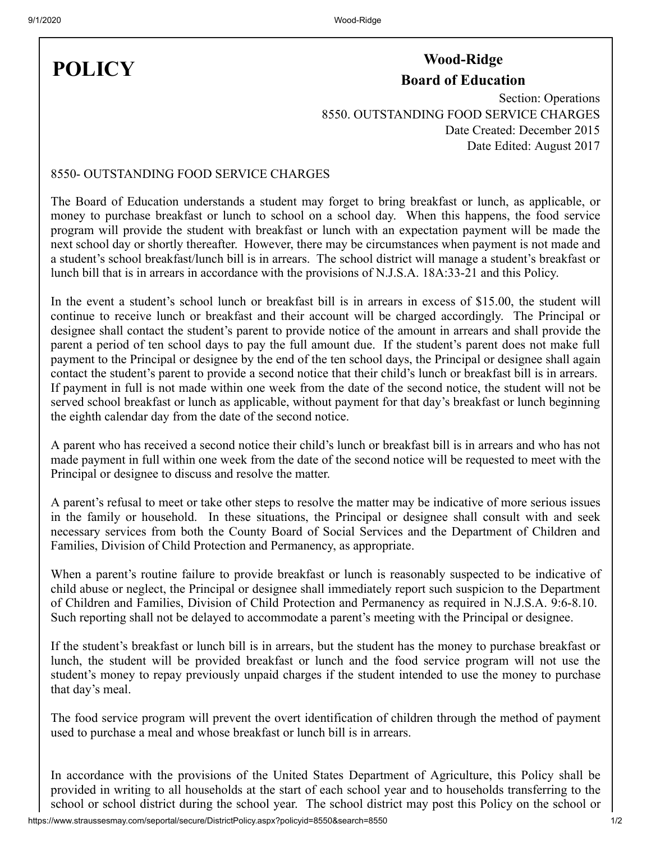## **POLICY**

## **Wood-Ridge Board of Education**

Section: Operations 8550. OUTSTANDING FOOD SERVICE CHARGES Date Created: December 2015 Date Edited: August 2017

## 8550- OUTSTANDING FOOD SERVICE CHARGES

The Board of Education understands a student may forget to bring breakfast or lunch, as applicable, or money to purchase breakfast or lunch to school on a school day. When this happens, the food service program will provide the student with breakfast or lunch with an expectation payment will be made the next school day or shortly thereafter. However, there may be circumstances when payment is not made and a student's school breakfast/lunch bill is in arrears. The school district will manage a student's breakfast or lunch bill that is in arrears in accordance with the provisions of N.J.S.A. 18A:33-21 and this Policy.

In the event a student's school lunch or breakfast bill is in arrears in excess of \$15.00, the student will continue to receive lunch or breakfast and their account will be charged accordingly. The Principal or designee shall contact the student's parent to provide notice of the amount in arrears and shall provide the parent a period of ten school days to pay the full amount due. If the student's parent does not make full payment to the Principal or designee by the end of the ten school days, the Principal or designee shall again contact the student's parent to provide a second notice that their child's lunch or breakfast bill is in arrears. If payment in full is not made within one week from the date of the second notice, the student will not be served school breakfast or lunch as applicable, without payment for that day's breakfast or lunch beginning the eighth calendar day from the date of the second notice.

A parent who has received a second notice their child's lunch or breakfast bill is in arrears and who has not made payment in full within one week from the date of the second notice will be requested to meet with the Principal or designee to discuss and resolve the matter.

A parent's refusal to meet or take other steps to resolve the matter may be indicative of more serious issues in the family or household. In these situations, the Principal or designee shall consult with and seek necessary services from both the County Board of Social Services and the Department of Children and Families, Division of Child Protection and Permanency, as appropriate.

When a parent's routine failure to provide breakfast or lunch is reasonably suspected to be indicative of child abuse or neglect, the Principal or designee shall immediately report such suspicion to the Department of Children and Families, Division of Child Protection and Permanency as required in N.J.S.A. 9:6-8.10. Such reporting shall not be delayed to accommodate a parent's meeting with the Principal or designee.

If the student's breakfast or lunch bill is in arrears, but the student has the money to purchase breakfast or lunch, the student will be provided breakfast or lunch and the food service program will not use the student's money to repay previously unpaid charges if the student intended to use the money to purchase that day's meal.

The food service program will prevent the overt identification of children through the method of payment used to purchase a meal and whose breakfast or lunch bill is in arrears.

In accordance with the provisions of the United States Department of Agriculture, this Policy shall be provided in writing to all households at the start of each school year and to households transferring to the school or school district during the school year. The school district may post this Policy on the school or